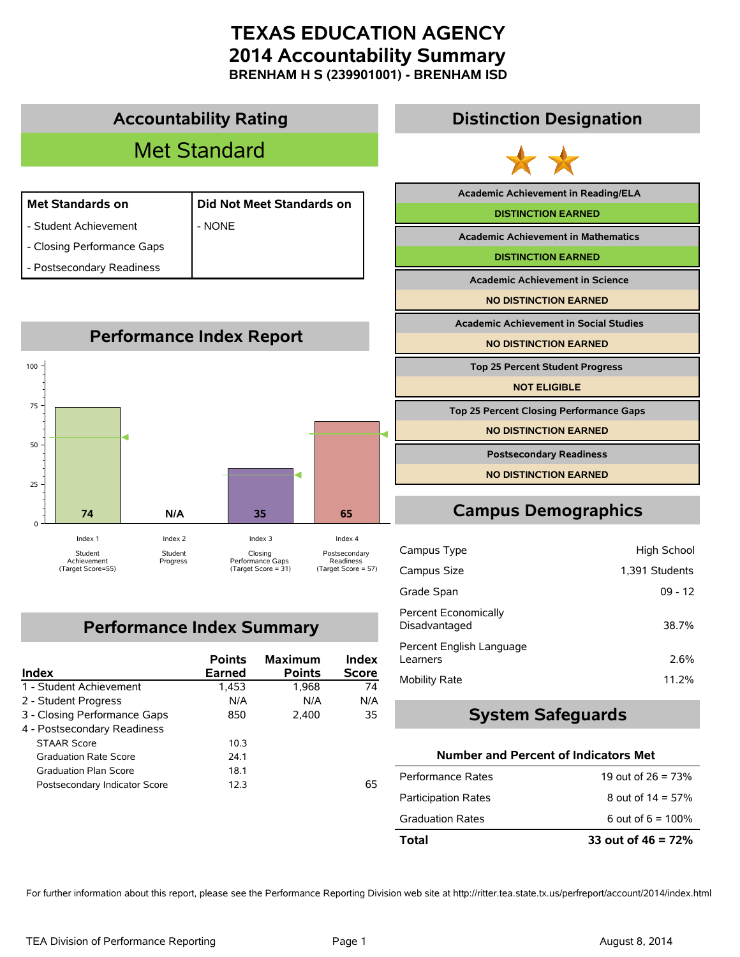**BRENHAM H S (239901001) - BRENHAM ISD**



### **Performance Index Summary**

| Index                         | <b>Points</b><br>Earned | <b>Maximum</b><br><b>Points</b> | Index<br><b>Score</b> |
|-------------------------------|-------------------------|---------------------------------|-----------------------|
| 1 - Student Achievement       | 1,453                   | 1,968                           | 74                    |
| 2 - Student Progress          | N/A                     | N/A                             | N/A                   |
| 3 - Closing Performance Gaps  | 850                     | 2,400                           | 35                    |
| 4 - Postsecondary Readiness   |                         |                                 |                       |
| <b>STAAR Score</b>            | 10.3                    |                                 |                       |
| <b>Graduation Rate Score</b>  | 24.1                    |                                 |                       |
| <b>Graduation Plan Score</b>  | 18.1                    |                                 |                       |
| Postsecondary Indicator Score | 12.3                    |                                 | 65                    |

| <b>Academic Achievement in Reading/ELA</b>     |
|------------------------------------------------|
| <b>DISTINCTION EARNED</b>                      |
| <b>Academic Achievement in Mathematics</b>     |
| <b>DISTINCTION EARNED</b>                      |
| <b>Academic Achievement in Science</b>         |
| <b>NO DISTINCTION EARNED</b>                   |
| <b>Academic Achievement in Social Studies</b>  |
|                                                |
| <b>NO DISTINCTION EARNED</b>                   |
| <b>Top 25 Percent Student Progress</b>         |
| <b>NOT ELIGIBLE</b>                            |
| <b>Top 25 Percent Closing Performance Gaps</b> |
| <b>NO DISTINCTION EARNED</b>                   |

| Campus Type                                  | High School    |
|----------------------------------------------|----------------|
| Campus Size                                  | 1,391 Students |
| Grade Span                                   | $09 - 12$      |
| <b>Percent Economically</b><br>Disadvantaged | 38.7%          |
| Percent English Language<br>Learners         | 2.6%           |
| <b>Mobility Rate</b>                         | 11.2%          |

#### **System Safeguards**

#### **Number and Percent of Indicators Met**

| Total                      | 33 out of $46 = 72\%$ |
|----------------------------|-----------------------|
| Graduation Rates           | 6 out of $6 = 100\%$  |
| <b>Participation Rates</b> | 8 out of $14 = 57\%$  |
| Performance Rates          | 19 out of $26 = 73%$  |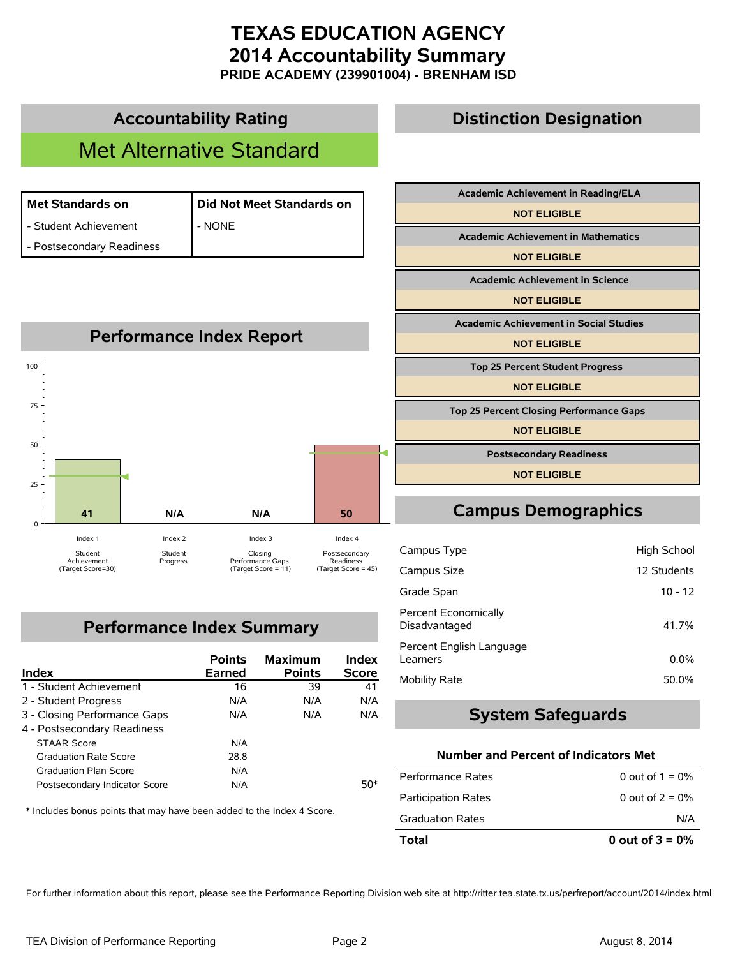**PRIDE ACADEMY (239901004) - BRENHAM ISD**



### **Performance Index Summary**

| Index                         | <b>Points</b><br><b>Earned</b> | <b>Maximum</b><br><b>Points</b> | Index<br><b>Score</b> |
|-------------------------------|--------------------------------|---------------------------------|-----------------------|
| 1 - Student Achievement       | 16                             | 39                              | 41                    |
| 2 - Student Progress          | N/A                            | N/A                             | N/A                   |
| 3 - Closing Performance Gaps  | N/A                            | N/A                             | N/A                   |
| 4 - Postsecondary Readiness   |                                |                                 |                       |
| <b>STAAR Score</b>            | N/A                            |                                 |                       |
| <b>Graduation Rate Score</b>  | 28.8                           |                                 |                       |
| <b>Graduation Plan Score</b>  | N/A                            |                                 |                       |
| Postsecondary Indicator Score | N/A                            |                                 | 50*                   |

\* Includes bonus points that may have been added to the Index 4 Score.

# **Campus Demographics**

| Campus Type                                  | High School |
|----------------------------------------------|-------------|
| Campus Size                                  | 12 Students |
| Grade Span                                   | $10 - 12$   |
| <b>Percent Economically</b><br>Disadvantaged | 41.7%       |
| Percent English Language<br>Learners         | $0.0\%$     |
| <b>Mobility Rate</b>                         | 50.0%       |

#### **System Safeguards**

#### **Number and Percent of Indicators Met**

| Total                      | 0 out of $3 = 0\%$ |
|----------------------------|--------------------|
| <b>Graduation Rates</b>    | N/A                |
| <b>Participation Rates</b> | 0 out of $2 = 0\%$ |
| Performance Rates          | 0 out of $1 = 0\%$ |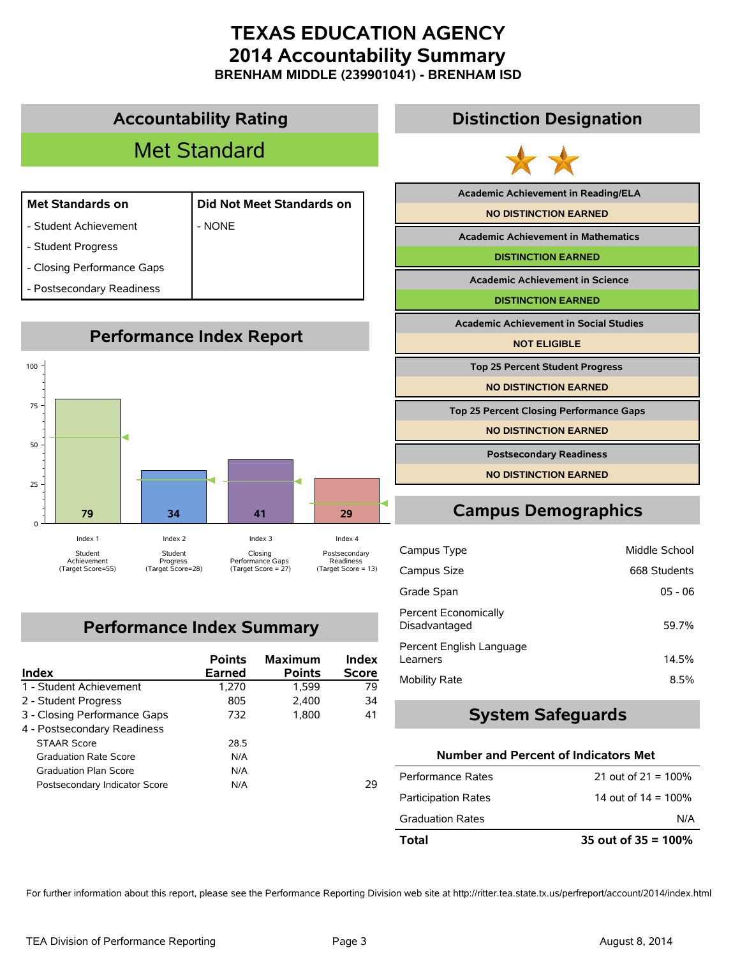**BRENHAM MIDDLE (239901041) - BRENHAM ISD**



### **Performance Index Summary**

| Index                         | <b>Points</b><br>Earned | <b>Maximum</b><br><b>Points</b> | Index<br><b>Score</b> |
|-------------------------------|-------------------------|---------------------------------|-----------------------|
| 1 - Student Achievement       | 1,270                   | 1,599                           | 79                    |
| 2 - Student Progress          | 805                     | 2,400                           | 34                    |
| 3 - Closing Performance Gaps  | 732                     | 1.800                           | 41                    |
| 4 - Postsecondary Readiness   |                         |                                 |                       |
| <b>STAAR Score</b>            | 28.5                    |                                 |                       |
| <b>Graduation Rate Score</b>  | N/A                     |                                 |                       |
| <b>Graduation Plan Score</b>  | N/A                     |                                 |                       |
| Postsecondary Indicator Score | N/A                     |                                 | 29                    |

#### **Distinction Designation**

**Academic Achievement in Reading/ELA**

**Academic Achievement in Mathematics**

**DISTINCTION EARNED**

**Academic Achievement in Science**

**Academic Achievement in Social Studies**

**Top 25 Percent Student Progress**

**Top 25 Percent Closing Performance Gaps**

**NO DISTINCTION EARNED**

**Postsecondary Readiness**

**NO DISTINCTION EARNED**

## **Campus Demographics**

| Campus Type                           |              |
|---------------------------------------|--------------|
| Campus Size                           | 668 Students |
| Grade Span                            | $05 - 06$    |
| Percent Economically<br>Disadvantaged | 59.7%        |
| Percent English Language<br>Learners  | 14.5%        |
| <b>Mobility Rate</b>                  | 8.5%         |

#### **System Safeguards**

#### **Number and Percent of Indicators Met**

| Total                      | 35 out of $35 = 100\%$ |
|----------------------------|------------------------|
| <b>Graduation Rates</b>    | N/A                    |
| <b>Participation Rates</b> | 14 out of $14 = 100\%$ |
| Performance Rates          | 21 out of $21 = 100\%$ |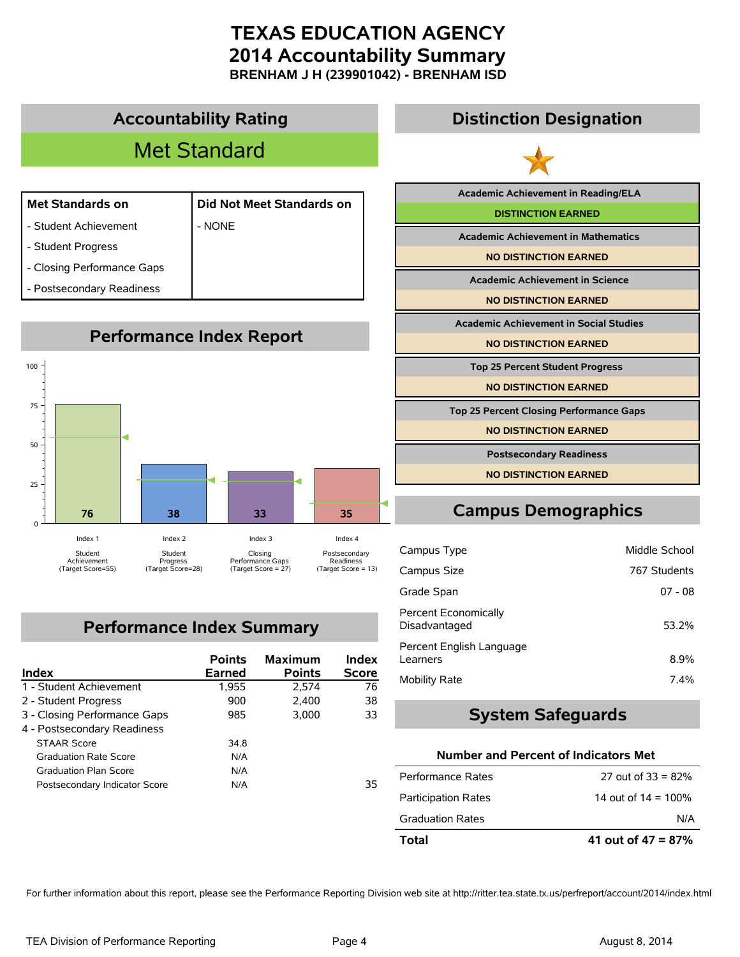**BRENHAM J H (239901042) - BRENHAM ISD**



### **Performance Index Summary**

| Index                         | <b>Points</b><br>Earned | <b>Maximum</b><br><b>Points</b> | Index<br><b>Score</b> |
|-------------------------------|-------------------------|---------------------------------|-----------------------|
| 1 - Student Achievement       | 1,955                   | 2.574                           | 76                    |
| 2 - Student Progress          | 900                     | 2,400                           | 38                    |
| 3 - Closing Performance Gaps  | 985                     | 3.000                           | 33                    |
| 4 - Postsecondary Readiness   |                         |                                 |                       |
| <b>STAAR Score</b>            | 34.8                    |                                 |                       |
| <b>Graduation Rate Score</b>  | N/A                     |                                 |                       |
| <b>Graduation Plan Score</b>  | N/A                     |                                 |                       |
| Postsecondary Indicator Score | N/A                     |                                 | 35                    |

| <b>Academic Achievement in Reading/ELA</b>     |  |
|------------------------------------------------|--|
| <b>DISTINCTION EARNED</b>                      |  |
| <b>Academic Achievement in Mathematics</b>     |  |
| <b>NO DISTINCTION EARNED</b>                   |  |
| <b>Academic Achievement in Science</b>         |  |
| <b>NO DISTINCTION EARNED</b>                   |  |
|                                                |  |
| <b>Academic Achievement in Social Studies</b>  |  |
| <b>NO DISTINCTION EARNED</b>                   |  |
| <b>Top 25 Percent Student Progress</b>         |  |
| <b>NO DISTINCTION EARNED</b>                   |  |
| <b>Top 25 Percent Closing Performance Gaps</b> |  |

| Campus Type                           | Middle School |
|---------------------------------------|---------------|
| Campus Size                           | 767 Students  |
| Grade Span                            | $07 - 08$     |
| Percent Economically<br>Disadvantaged | 53.2%         |
| Percent English Language<br>Learners  | 8.9%          |
| Mobility Rate                         | 7.4%          |

#### **System Safeguards**

#### **Number and Percent of Indicators Met**

| Total                      | 41 out of $47 = 87%$   |
|----------------------------|------------------------|
| <b>Graduation Rates</b>    | N/A                    |
| <b>Participation Rates</b> | 14 out of $14 = 100\%$ |
| Performance Rates          | 27 out of $33 = 82\%$  |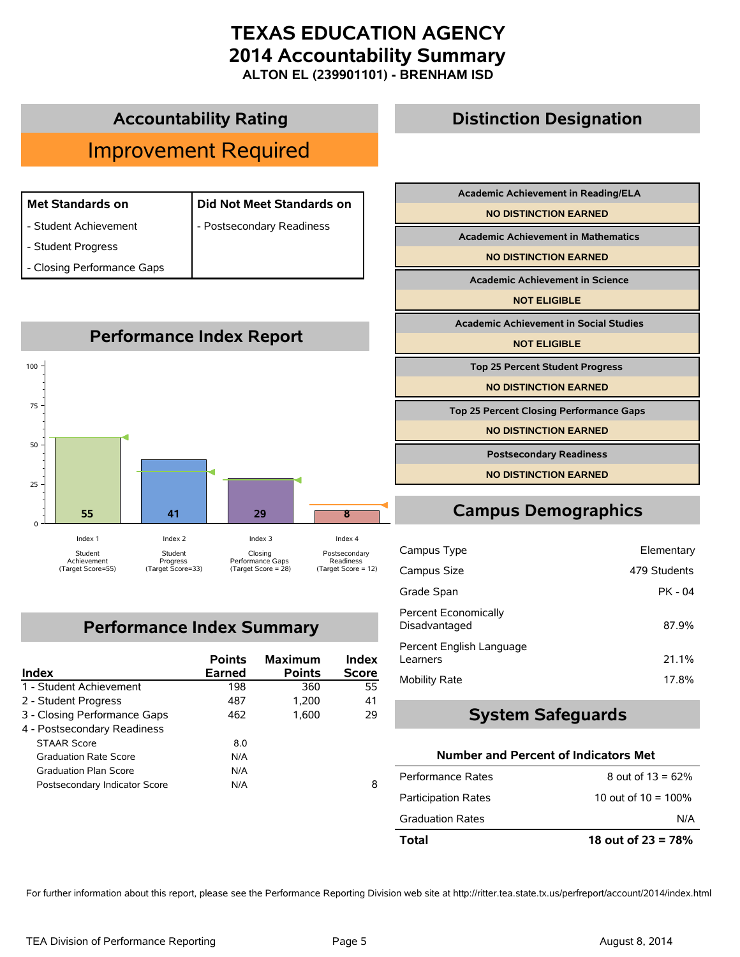**ALTON EL (239901101) - BRENHAM ISD**

### **Accountability Rating**

## Improvement Required

| <b>Met Standards on</b>    | Did Not Meet Standards on |
|----------------------------|---------------------------|
| - Student Achievement      | - Postsecondary Readiness |
| - Student Progress         |                           |
| - Closing Performance Gaps |                           |
|                            |                           |



### **Performance Index Summary**

| Index                         | <b>Points</b><br><b>Earned</b> | <b>Maximum</b><br><b>Points</b> | Index<br><b>Score</b> |
|-------------------------------|--------------------------------|---------------------------------|-----------------------|
| 1 - Student Achievement       | 198                            | 360                             | 55                    |
| 2 - Student Progress          | 487                            | 1,200                           | 41                    |
| 3 - Closing Performance Gaps  | 462                            | 1.600                           | 29                    |
| 4 - Postsecondary Readiness   |                                |                                 |                       |
| <b>STAAR Score</b>            | 8.0                            |                                 |                       |
| <b>Graduation Rate Score</b>  | N/A                            |                                 |                       |
| <b>Graduation Plan Score</b>  | N/A                            |                                 |                       |
| Postsecondary Indicator Score | N/A                            |                                 | 8                     |

| Academic Achievement in Reading/ELA            |
|------------------------------------------------|
| <b>NO DISTINCTION EARNED</b>                   |
| <b>Academic Achievement in Mathematics</b>     |
| <b>NO DISTINCTION EARNED</b>                   |
| <b>Academic Achievement in Science</b>         |
| <b>NOT ELIGIBLE</b>                            |
| <b>Academic Achievement in Social Studies</b>  |
| <b>NOT ELIGIBLE</b>                            |
| <b>Top 25 Percent Student Progress</b>         |
| <b>NO DISTINCTION EARNED</b>                   |
| <b>Top 25 Percent Closing Performance Gaps</b> |
| <b>NO DISTINCTION EARNED</b>                   |
| <b>Postsecondary Readiness</b>                 |
| <b>NO DISTINCTION EARNED</b>                   |

**Distinction Designation**

## **Campus Demographics**

| Campus Type                           | Elementary   |
|---------------------------------------|--------------|
| Campus Size                           | 479 Students |
| Grade Span                            | $PK - 04$    |
| Percent Economically<br>Disadvantaged | 87.9%        |
| Percent English Language<br>Learners  | 21.1%        |
| Mobility Rate                         | 17.8%        |

#### **System Safeguards**

#### **Number and Percent of Indicators Met**

| Total                      | 18 out of $23 = 78%$   |
|----------------------------|------------------------|
| <b>Graduation Rates</b>    | N/A                    |
| <b>Participation Rates</b> | 10 out of $10 = 100\%$ |
| Performance Rates          | 8 out of $13 = 62\%$   |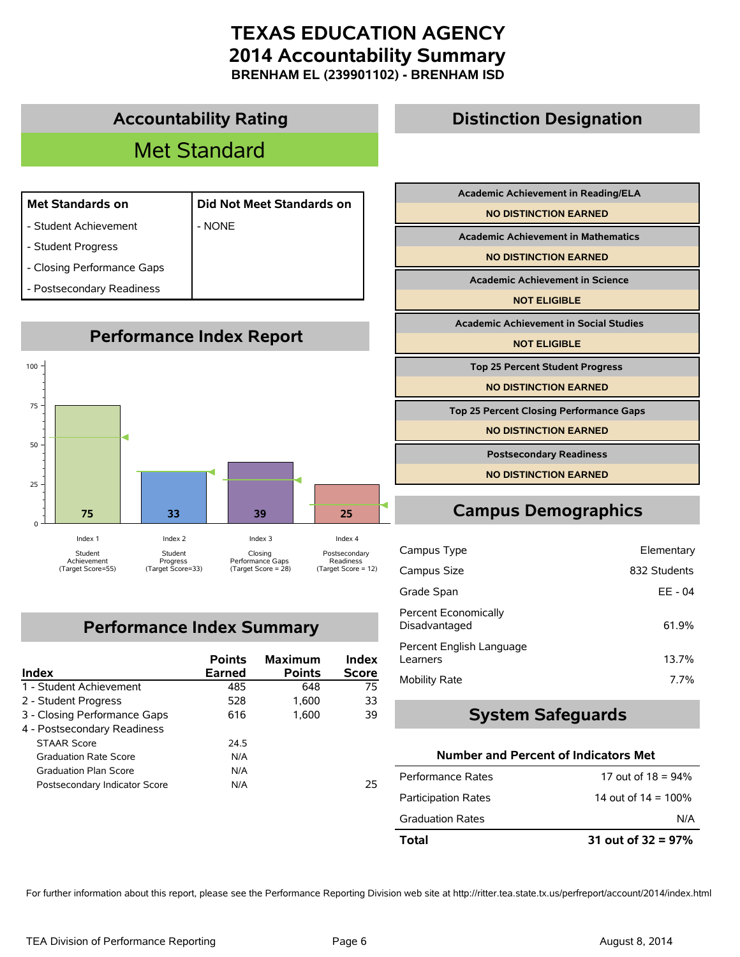**BRENHAM EL (239901102) - BRENHAM ISD**

### **Accountability Rating**

## Met Standard

| <b>Met Standards on</b>     | Did Not Meet Standards on |
|-----------------------------|---------------------------|
| - Student Achievement       | - NONE                    |
| - Student Progress          |                           |
| - Closing Performance Gaps  |                           |
| Destaces adam : Des dinasse |                           |



## **Performance Index Summary**

| Index                         | <b>Points</b><br><b>Earned</b> | <b>Maximum</b><br><b>Points</b> | Index<br><b>Score</b> |
|-------------------------------|--------------------------------|---------------------------------|-----------------------|
| 1 - Student Achievement       | 485                            | 648                             | 75                    |
| 2 - Student Progress          | 528                            | 1.600                           | 33                    |
| 3 - Closing Performance Gaps  | 616                            | 1.600                           | 39                    |
| 4 - Postsecondary Readiness   |                                |                                 |                       |
| <b>STAAR Score</b>            | 24.5                           |                                 |                       |
| <b>Graduation Rate Score</b>  | N/A                            |                                 |                       |
| <b>Graduation Plan Score</b>  | N/A                            |                                 |                       |
| Postsecondary Indicator Score | N/A                            |                                 | 25                    |

## **Academic Achievement in Reading/ELA NO DISTINCTION EARNED Academic Achievement in Mathematics NO DISTINCTION EARNED Academic Achievement in Science NOT ELIGIBLE Academic Achievement in Social Studies NOT ELIGIBLE Top 25 Percent Student Progress NO DISTINCTION EARNED Top 25 Percent Closing Performance Gaps**

**Distinction Designation**

**NO DISTINCTION EARNED**

**Postsecondary Readiness**

**NO DISTINCTION EARNED**

## **Campus Demographics**

| Campus Type                           | Elementary   |
|---------------------------------------|--------------|
| Campus Size                           | 832 Students |
| Grade Span                            | EE - 04      |
| Percent Economically<br>Disadvantaged | 61.9%        |
| Percent English Language<br>Learners  | 13.7%        |
| <b>Mobility Rate</b>                  | $7.7\%$      |

#### **System Safeguards**

#### **Number and Percent of Indicators Met**

| Total                      | 31 out of $32 = 97%$   |
|----------------------------|------------------------|
| <b>Graduation Rates</b>    | N/A                    |
| <b>Participation Rates</b> | 14 out of $14 = 100\%$ |
| Performance Rates          | 17 out of $18 = 94\%$  |

For further information about this report, please see the Performance Reporting Division web site at http://ritter.tea.state.tx.us/perfreport/account/2014/index.html

Postsecondary Readiness